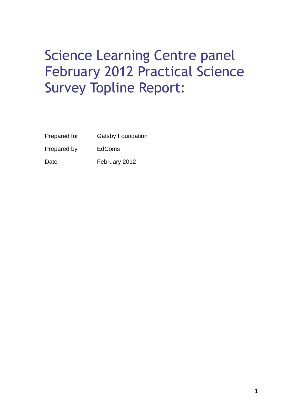## Science Learning Centre panel February 2012 Practical Science Survey Topline Report:

| Prepared for | <b>Gatsby Foundation</b> |
|--------------|--------------------------|
| Prepared by  | <b>EdComs</b>            |
| Date         | February 2012            |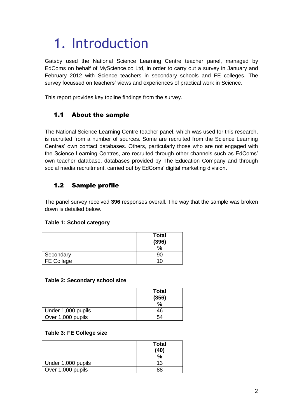# 1. Introduction

Gatsby used the National Science Learning Centre teacher panel, managed by EdComs on behalf of MyScience.co Ltd, in order to carry out a survey in January and February 2012 with Science teachers in secondary schools and FE colleges. The survey focussed on teachers' views and experiences of practical work in Science.

This report provides key topline findings from the survey.

## 1.1 About the sample

The National Science Learning Centre teacher panel, which was used for this research, is recruited from a number of sources. Some are recruited from the Science Learning Centres' own contact databases. Others, particularly those who are not engaged with the Science Learning Centres, are recruited through other channels such as EdComs' own teacher database, databases provided by The Education Company and through social media recruitment, carried out by EdComs' digital marketing division.

## 1.2 Sample profile

The panel survey received **396** responses overall. The way that the sample was broken down is detailed below.

## **Table 1: School category**

|                   | <b>Total</b><br>(396)<br>$\frac{0}{0}$ |
|-------------------|----------------------------------------|
| Secondary         |                                        |
| <b>FE College</b> |                                        |

#### **Table 2: Secondary school size**

|                    | <b>Total</b><br>(356)<br>$\frac{0}{0}$ |
|--------------------|----------------------------------------|
| Under 1,000 pupils | 46                                     |
| Over 1,000 pupils  | 54                                     |

#### **Table 3: FE College size**

|                    | <b>Total</b><br>(40)<br>$\frac{0}{0}$ |
|--------------------|---------------------------------------|
| Under 1,000 pupils | 13                                    |
| Over 1,000 pupils  | 88                                    |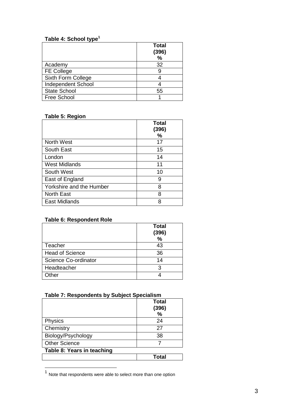## **Table 4: School type<sup>1</sup>**

|                           | <b>Total</b><br>(396)<br>% |
|---------------------------|----------------------------|
| Academy                   | 32                         |
| <b>FE College</b>         | 9                          |
| Sixth Form College        |                            |
| <b>Independent School</b> |                            |
| <b>State School</b>       | 55                         |
| <b>Free School</b>        |                            |

#### **Table 5: Region**

|                          | <b>Total</b><br>(396)<br>℅ |
|--------------------------|----------------------------|
| <b>North West</b>        | 17                         |
| South East               | 15                         |
| London                   | 14                         |
| <b>West Midlands</b>     | 11                         |
| South West               | 10                         |
| East of England          | 9                          |
| Yorkshire and the Humber | 8                          |
| <b>North East</b>        | 8                          |
| East Midlands            | 8                          |

#### **Table 6: Respondent Role**

|                        | <b>Total</b><br>(396) |
|------------------------|-----------------------|
|                        | %                     |
| Teacher                | 43                    |
| <b>Head of Science</b> | 36                    |
| Science Co-ordinator   | 14                    |
| Headteacher            | З                     |
| Other                  |                       |

## **Table 7: Respondents by Subject Specialism**

|                            | Total<br>(396)<br>% |
|----------------------------|---------------------|
| Physics                    | 24                  |
| Chemistry                  | 27                  |
| Biology/Psychology         | 38                  |
| <b>Other Science</b>       |                     |
| Table 8: Years in teaching |                     |
|                            | Total               |

 1 Note that respondents were able to select more than one option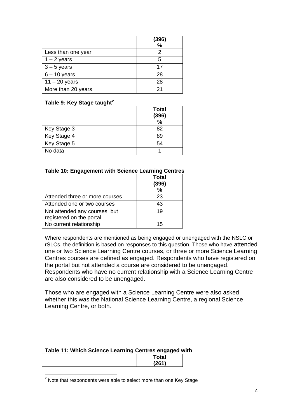|                    | (396)<br>$\%$ |
|--------------------|---------------|
| Less than one year | 2             |
|                    | 5             |
| $1 - 2$ years      |               |
| $3 - 5$ years      | 17            |
| $6 - 10$ years     | 28            |
| $11 - 20$ years    | 28            |
| More than 20 years | 21            |

#### **Table 9: Key Stage taught<sup>2</sup>**

|             | <b>Total</b><br>(396)<br>% |
|-------------|----------------------------|
| Key Stage 3 | 82                         |
| Key Stage 4 | 89                         |
| Key Stage 5 | 54                         |
| No data     |                            |

#### **Table 10: Engagement with Science Learning Centres**

|                                                           | <b>Total</b><br>(396)<br>$\frac{0}{0}$ |
|-----------------------------------------------------------|----------------------------------------|
| Attended three or more courses                            | 23                                     |
| Attended one or two courses                               | 43                                     |
| Not attended any courses, but<br>registered on the portal | 19                                     |
| No current relationship                                   | 15                                     |

Where respondents are mentioned as being engaged or unengaged with the NSLC or rSLCs, the definition is based on responses to this question. Those who have attended one or two Science Learning Centre courses, or three or more Science Learning Centres courses are defined as engaged. Respondents who have registered on the portal but not attended a course are considered to be unengaged. Respondents who have no current relationship with a Science Learning Centre are also considered to be unengaged.

Those who are engaged with a Science Learning Centre were also asked whether this was the National Science Learning Centre, a regional Science Learning Centre, or both.

## **Table 11: Which Science Learning Centres engaged with**

| <b>Total</b> |
|--------------|
| 1261         |
|              |

l  $2$  Note that respondents were able to select more than one Key Stage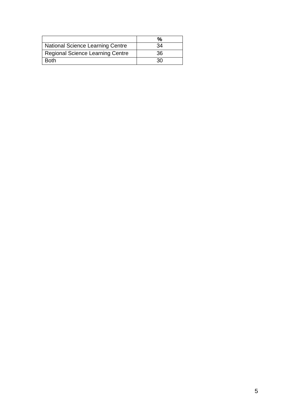| National Science Learning Centre        | 34 |
|-----------------------------------------|----|
| <b>Regional Science Learning Centre</b> | 36 |
| <b>Both</b>                             | 30 |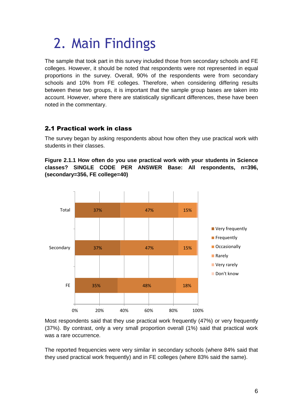## 2. Main Findings

The sample that took part in this survey included those from secondary schools and FE colleges. However, it should be noted that respondents were not represented in equal proportions in the survey. Overall, 90% of the respondents were from secondary schools and 10% from FE colleges. Therefore, when considering differing results between these two groups, it is important that the sample group bases are taken into account. However, where there are statistically significant differences, these have been noted in the commentary.

## 2.1 Practical work in class

The survey began by asking respondents about how often they use practical work with students in their classes.

## **Figure 2.1.1 How often do you use practical work with your students in Science classes? SINGLE CODE PER ANSWER Base: All respondents, n=396, (secondary=356, FE college=40)**



Most respondents said that they use practical work frequently (47%) or very frequently (37%). By contrast, only a very small proportion overall (1%) said that practical work was a rare occurrence.

The reported frequencies were very similar in secondary schools (where 84% said that they used practical work frequently) and in FE colleges (where 83% said the same).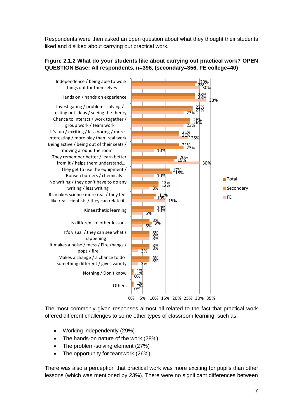Respondents were then asked an open question about what they thought their students liked and disliked about carrying out practical work.

## **Figure 2.1.2 What do your students like about carrying out practical work? OPEN QUESTION Base: All respondents, n=396, (secondary=356, FE college=40)**



The most commonly given responses almost all related to the fact that practical work offered different challenges to some other types of classroom learning, such as:

- Working independently (29%)
- The hands-on nature of the work (28%)
- The problem-solving element (27%)
- The opportunity for teamwork (26%)

There was also a perception that practical work was more exciting for pupils than other lessons (which was mentioned by 23%). There were no significant differences between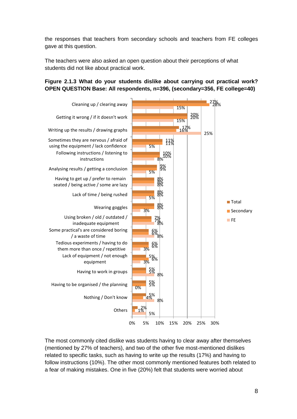the responses that teachers from secondary schools and teachers from FE colleges gave at this question.

The teachers were also asked an open question about their perceptions of what students did not like about practical work.

### **Figure 2.1.3 What do your students dislike about carrying out practical work? OPEN QUESTION Base: All respondents, n=396, (secondary=356, FE college=40)**



The most commonly cited dislike was students having to clear away after themselves (mentioned by 27% of teachers), and two of the other five most-mentioned dislikes related to specific tasks, such as having to write up the results (17%) and having to follow instructions (10%). The other most commonly mentioned features both related to a fear of making mistakes. One in five (20%) felt that students were worried about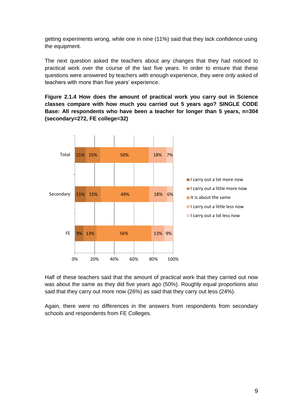getting experiments wrong, while one in nine (11%) said that they lack confidence using the equipment.

The next question asked the teachers about any changes that they had noticed to practical work over the course of the last five years. In order to ensure that these questions were answered by teachers with enough experience, they were only asked of teachers with more than five years' experience.

**Figure 2.1.4 How does the amount of practical work you carry out in Science classes compare with how much you carried out 5 years ago? SINGLE CODE Base: All respondents who have been a teacher for longer than 5 years, n=304 (secondary=272, FE college=32)** 



Half of these teachers said that the amount of practical work that they carried out now was about the same as they did five years ago (50%). Roughly equal proportions also said that they carry out more now (26%) as said that they carry out less (24%).

Again, there were no differences in the answers from respondents from secondary schools and respondents from FE Colleges.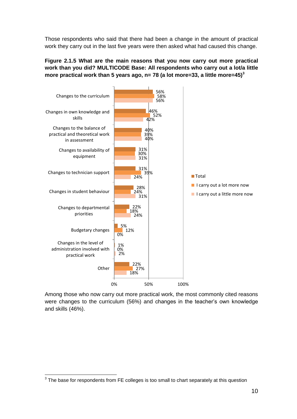Those respondents who said that there had been a change in the amount of practical work they carry out in the last five years were then asked what had caused this change.

## **Figure 2.1.5 What are the main reasons that you now carry out more practical work than you did? MULTICODE Base: All respondents who carry out a lot/a little more practical work than 5 years ago, n= 78 (a lot more=33, a little more=45)<sup>3</sup>**



Among those who now carry out more practical work, the most commonly cited reasons were changes to the curriculum (56%) and changes in the teacher's own knowledge and skills (46%).

 3 The base for respondents from FE colleges is too small to chart separately at this question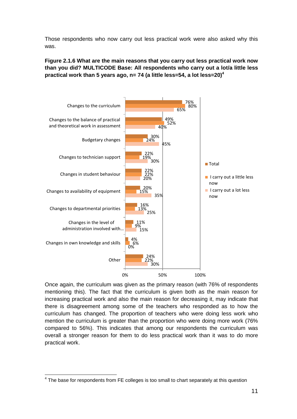Those respondents who now carry out less practical work were also asked why this was.

**Figure 2.1.6 What are the main reasons that you carry out less practical work now than you did? MULTICODE Base: All respondents who carry out a lot/a little less practical work than 5 years ago, n= 74 (a little less=54, a lot less=20)<sup>4</sup>**



Once again, the curriculum was given as the primary reason (with 76% of respondents mentioning this). The fact that the curriculum is given both as the main reason for increasing practical work and also the main reason for decreasing it, may indicate that there is disagreement among some of the teachers who responded as to how the curriculum has changed. The proportion of teachers who were doing less work who mention the curriculum is greater than the proportion who were doing more work (76% compared to 56%). This indicates that among our respondents the curriculum was overall a stronger reason for them to do less practical work than it was to do more practical work.

<sup>————————————————————&</sup>lt;br><sup>4</sup> The base for respondents from FE colleges is too small to chart separately at this question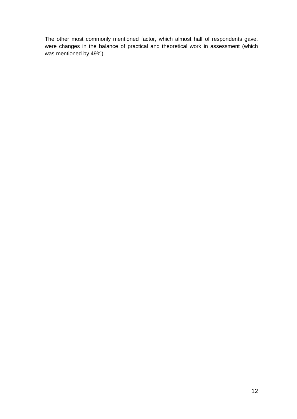The other most commonly mentioned factor, which almost half of respondents gave, were changes in the balance of practical and theoretical work in assessment (which was mentioned by 49%).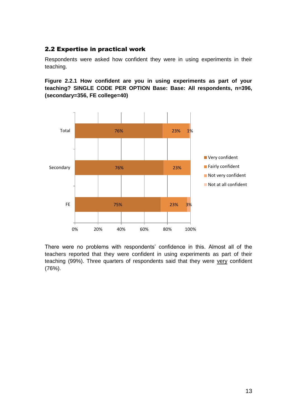## 2.2 Expertise in practical work

Respondents were asked how confident they were in using experiments in their teaching.

**Figure 2.2.1 How confident are you in using experiments as part of your teaching? SINGLE CODE PER OPTION Base: Base: All respondents, n=396, (secondary=356, FE college=40)**



There were no problems with respondents' confidence in this. Almost all of the teachers reported that they were confident in using experiments as part of their teaching (99%). Three quarters of respondents said that they were very confident (76%).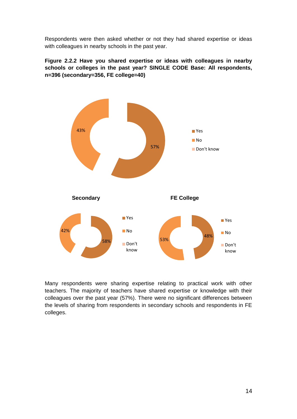Respondents were then asked whether or not they had shared expertise or ideas with colleagues in nearby schools in the past year.

**Figure 2.2.2 Have you shared expertise or ideas with colleagues in nearby schools or colleges in the past year? SINGLE CODE Base: All respondents, n=396 (secondary=356, FE college=40)**



Many respondents were sharing expertise relating to practical work with other teachers. The majority of teachers have shared expertise or knowledge with their colleagues over the past year (57%). There were no significant differences between the levels of sharing from respondents in secondary schools and respondents in FE colleges.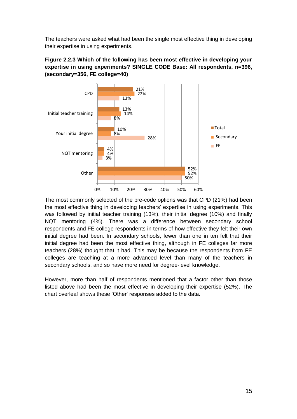The teachers were asked what had been the single most effective thing in developing their expertise in using experiments.





The most commonly selected of the pre-code options was that CPD (21%) had been the most effective thing in developing teachers' expertise in using experiments. This was followed by initial teacher training (13%), their initial degree (10%) and finally NQT mentoring (4%). There was a difference between secondary school respondents and FE college respondents in terms of how effective they felt their own initial degree had been. In secondary schools, fewer than one in ten felt that their initial degree had been the most effective thing, although in FE colleges far more teachers (28%) thought that it had. This may be because the respondents from FE colleges are teaching at a more advanced level than many of the teachers in secondary schools, and so have more need for degree-level knowledge.

However, more than half of respondents mentioned that a factor other than those listed above had been the most effective in developing their expertise (52%). The chart overleaf shows these 'Other' responses added to the data.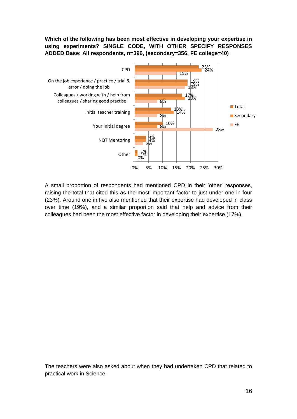**Which of the following has been most effective in developing your expertise in using experiments? SINGLE CODE, WITH OTHER SPECIFY RESPONSES ADDED Base: All respondents, n=396, (secondary=356, FE college=40)**



A small proportion of respondents had mentioned CPD in their 'other' responses, raising the total that cited this as the most important factor to just under one in four (23%). Around one in five also mentioned that their expertise had developed in class over time (19%), and a similar proportion said that help and advice from their colleagues had been the most effective factor in developing their expertise (17%).

The teachers were also asked about when they had undertaken CPD that related to practical work in Science.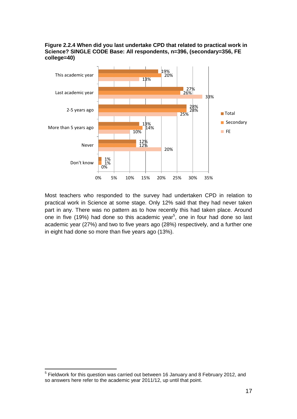



Most teachers who responded to the survey had undertaken CPD in relation to practical work in Science at some stage. Only 12% said that they had never taken part in any. There was no pattern as to how recently this had taken place. Around one in five (19%) had done so this academic year<sup>5</sup>, one in four had done so last academic year (27%) and two to five years ago (28%) respectively, and a further one in eight had done so more than five years ago (13%).

l

<sup>&</sup>lt;sup>5</sup> Fieldwork for this question was carried out between 16 January and 8 February 2012, and so answers here refer to the academic year 2011/12, up until that point.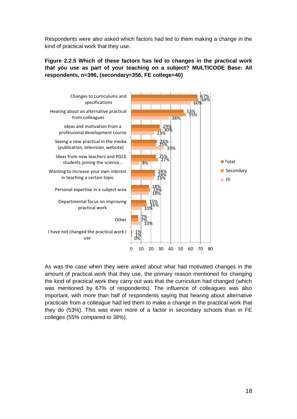Respondents were also asked which factors had led to them making a change in the kind of practical work that they use.

## **Figure 2.2.5 Which of these factors has led to changes in the practical work that you use as part of your teaching on a subject? MULTICODE Base: All respondents, n=396, (secondary=356, FE college=40)**



As was the case when they were asked about what had motivated changes in the amount of practical work that they use, the primary reason mentioned for changing the kind of practical work they carry out was that the curriculum had changed (which was mentioned by 67% of respondents). The influence of colleagues was also important, with more than half of respondents saying that hearing about alternative practicals from a colleague had led them to make a change in the practical work that they do (53%). This was even more of a factor in secondary schools than in FE colleges (55% compared to 38%).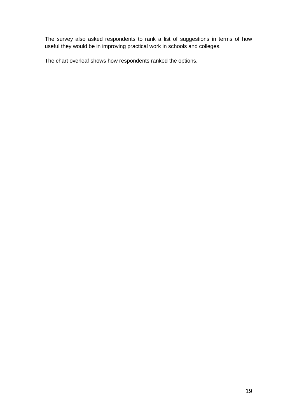The survey also asked respondents to rank a list of suggestions in terms of how useful they would be in improving practical work in schools and colleges.

The chart overleaf shows how respondents ranked the options.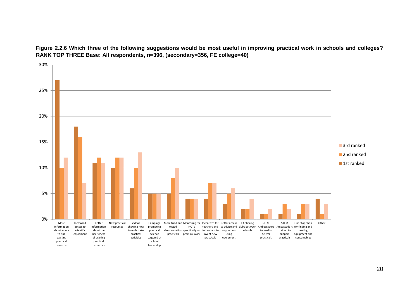

**Figure 2.2.6 Which three of the following suggestions would be most useful in improving practical work in schools and colleges? RANK TOP THREE Base: All respondents, n=396, (secondary=356, FE college=40)**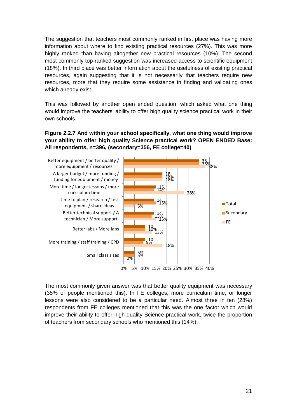The suggestion that teachers most commonly ranked in first place was having more information about where to find existing practical resources (27%). This was more highly ranked than having altogether new practical resources (10%). The second most commonly top-ranked suggestion was increased access to scientific equipment (18%). In third place was better information about the usefulness of existing practical resources, again suggesting that it is not necessarily that teachers require new resources, more that they require some assistance in finding and validating ones which already exist.

This was followed by another open ended question, which asked what one thing would improve the teachers' ability to offer high quality science practical work in their own schools.

## **Figure 2.2.7 And within your school specifically, what one thing would improve your ability to offer high quality Science practical work? OPEN ENDED Base: All respondents, n=396, (secondary=356, FE college=40)**



The most commonly given answer was that better quality equipment was necessary (35% of people mentioned this). In FE colleges, more curriculum time, or longer lessons were also considered to be a particular need. Almost three in ten (28%) respondents from FE colleges mentioned that this was the one factor which would improve their ability to offer high quality Science practical work, twice the proportion of teachers from secondary schools who mentioned this (14%).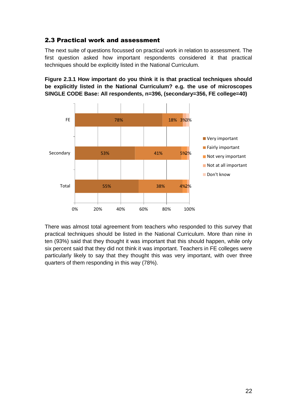## 2.3 Practical work and assessment

The next suite of questions focussed on practical work in relation to assessment. The first question asked how important respondents considered it that practical techniques should be explicitly listed in the National Curriculum.

**Figure 2.3.1 How important do you think it is that practical techniques should be explicitly listed in the National Curriculum? e.g. the use of microscopes SINGLE CODE Base: All respondents, n=396, (secondary=356, FE college=40)**



There was almost total agreement from teachers who responded to this survey that practical techniques should be listed in the National Curriculum. More than nine in ten (93%) said that they thought it was important that this should happen, while only six percent said that they did not think it was important. Teachers in FE colleges were particularly likely to say that they thought this was very important, with over three quarters of them responding in this way (78%).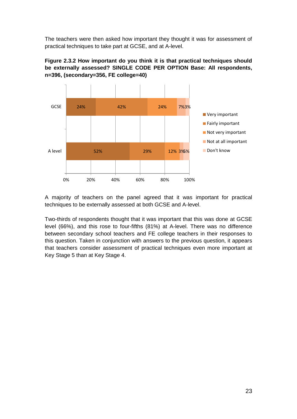The teachers were then asked how important they thought it was for assessment of practical techniques to take part at GCSE, and at A-level.





A majority of teachers on the panel agreed that it was important for practical techniques to be externally assessed at both GCSE and A-level.

Two-thirds of respondents thought that it was important that this was done at GCSE level (66%), and this rose to four-fifths (81%) at A-level. There was no difference between secondary school teachers and FE college teachers in their responses to this question. Taken in conjunction with answers to the previous question, it appears that teachers consider assessment of practical techniques even more important at Key Stage 5 than at Key Stage 4.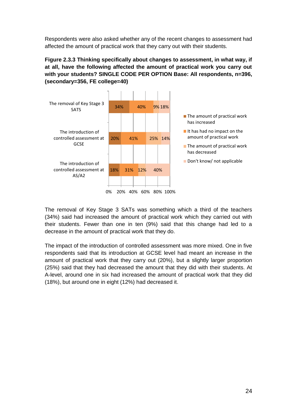Respondents were also asked whether any of the recent changes to assessment had affected the amount of practical work that they carry out with their students.

## **Figure 2.3.3 Thinking specifically about changes to assessment, in what way, if at all, have the following affected the amount of practical work you carry out with your students? SINGLE CODE PER OPTION Base: All respondents, n=396, (secondary=356, FE college=40)**



The removal of Key Stage 3 SATs was something which a third of the teachers (34%) said had increased the amount of practical work which they carried out with their students. Fewer than one in ten (9%) said that this change had led to a decrease in the amount of practical work that they do.

The impact of the introduction of controlled assessment was more mixed. One in five respondents said that its introduction at GCSE level had meant an increase in the amount of practical work that they carry out (20%), but a slightly larger proportion (25%) said that they had decreased the amount that they did with their students. At A-level, around one in six had increased the amount of practical work that they did (18%), but around one in eight (12%) had decreased it.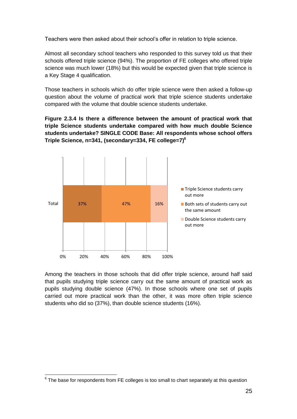Teachers were then asked about their school's offer in relation to triple science.

Almost all secondary school teachers who responded to this survey told us that their schools offered triple science (94%). The proportion of FE colleges who offered triple science was much lower (18%) but this would be expected given that triple science is a Key Stage 4 qualification.

Those teachers in schools which do offer triple science were then asked a follow-up question about the volume of practical work that triple science students undertake compared with the volume that double science students undertake.

**Figure 2.3.4 Is there a difference between the amount of practical work that triple Science students undertake compared with how much double Science students undertake? SINGLE CODE Base: All respondents whose school offers Triple Science, n=341, (secondary=334, FE college=7) 6**



Among the teachers in those schools that did offer triple science, around half said that pupils studying triple science carry out the same amount of practical work as pupils studying double science (47%). In those schools where one set of pupils carried out more practical work than the other, it was more often triple science students who did so (37%), than double science students (16%).

 6 The base for respondents from FE colleges is too small to chart separately at this question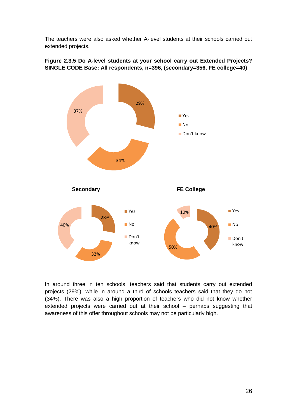The teachers were also asked whether A-level students at their schools carried out extended projects.



**Figure 2.3.5 Do A-level students at your school carry out Extended Projects? SINGLE CODE Base: All respondents, n=396, (secondary=356, FE college=40)**

In around three in ten schools, teachers said that students carry out extended projects (29%), while in around a third of schools teachers said that they do not (34%). There was also a high proportion of teachers who did not know whether extended projects were carried out at their school – perhaps suggesting that awareness of this offer throughout schools may not be particularly high.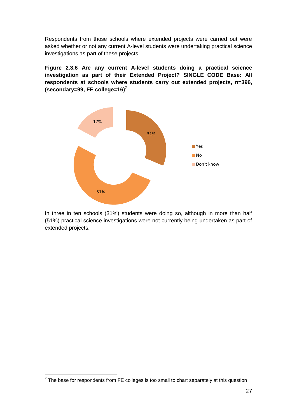Respondents from those schools where extended projects were carried out were asked whether or not any current A-level students were undertaking practical science investigations as part of these projects.

**Figure 2.3.6 Are any current A-level students doing a practical science investigation as part of their Extended Project? SINGLE CODE Base: All respondents at schools where students carry out extended projects, n=396, (secondary=99, FE college=16) 7**



In three in ten schools (31%) students were doing so, although in more than half (51%) practical science investigations were not currently being undertaken as part of extended projects.

 7 The base for respondents from FE colleges is too small to chart separately at this question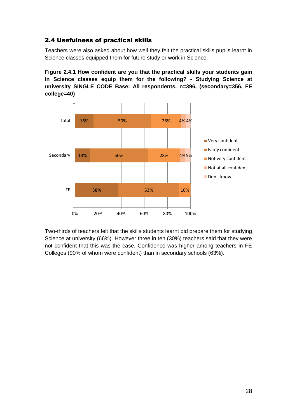## 2.4 Usefulness of practical skills

Teachers were also asked about how well they felt the practical skills pupils learnt in Science classes equipped them for future study or work in Science.

**Figure 2.4.1 How confident are you that the practical skills your students gain in Science classes equip them for the following? - Studying Science at university SINGLE CODE Base: All respondents, n=396, (secondary=356, FE college=40)**



Two-thirds of teachers felt that the skills students learnt did prepare them for studying Science at university (66%). However three in ten (30%) teachers said that they were not confident that this was the case. Confidence was higher among teachers in FE Colleges (90% of whom were confident) than in secondary schools (63%).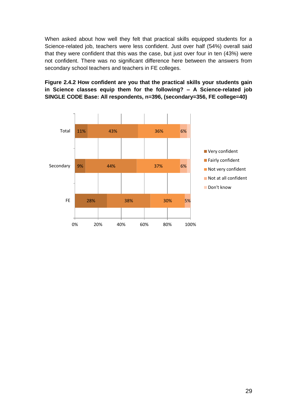When asked about how well they felt that practical skills equipped students for a Science-related job, teachers were less confident. Just over half (54%) overall said that they were confident that this was the case, but just over four in ten (43%) were not confident. There was no significant difference here between the answers from secondary school teachers and teachers in FE colleges.

**Figure 2.4.2 How confident are you that the practical skills your students gain in Science classes equip them for the following? – A Science-related job SINGLE CODE Base: All respondents, n=396, (secondary=356, FE college=40)**

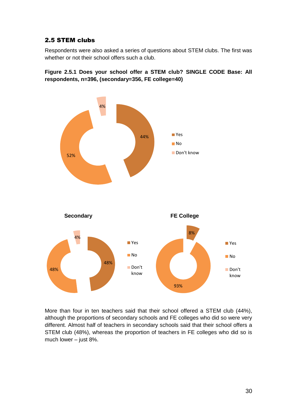## 2.5 STEM clubs

Respondents were also asked a series of questions about STEM clubs. The first was whether or not their school offers such a club.



**Figure 2.5.1 Does your school offer a STEM club? SINGLE CODE Base: All respondents, n=396, (secondary=356, FE college=40)**

More than four in ten teachers said that their school offered a STEM club (44%), although the proportions of secondary schools and FE colleges who did so were very different. Almost half of teachers in secondary schools said that their school offers a STEM club (48%), whereas the proportion of teachers in FE colleges who did so is much lower – just 8%.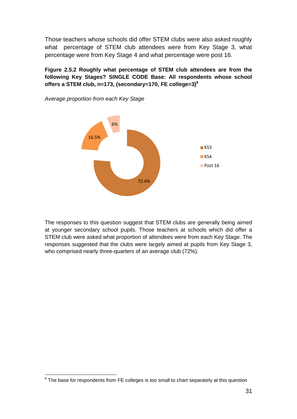Those teachers whose schools did offer STEM clubs were also asked roughly what percentage of STEM club attendees were from Key Stage 3, what percentage were from Key Stage 4 and what percentage were post 16.

**Figure 2.5.2 Roughly what percentage of STEM club attendees are from the following Key Stages? SINGLE CODE Base: All respondents whose school offers a STEM club, n=173, (secondary=170, FE college=3) 8**



*Average proportion from each Key Stage*

The responses to this question suggest that STEM clubs are generally being aimed at younger secondary school pupils. Those teachers at schools which did offer a STEM club were asked what proportion of attendees were from each Key Stage. The responses suggested that the clubs were largely aimed at pupils from Key Stage 3, who comprised nearly three-quarters of an average club (72%).

 8 The base for respondents from FE colleges is too small to chart separately at this question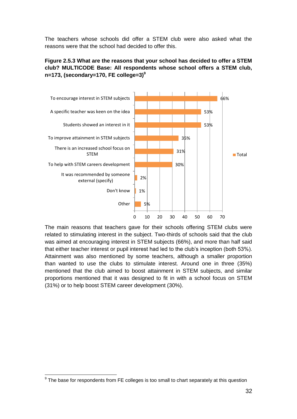The teachers whose schools did offer a STEM club were also asked what the reasons were that the school had decided to offer this.

## **Figure 2.5.3 What are the reasons that your school has decided to offer a STEM club? MULTICODE Base: All respondents whose school offers a STEM club, n=173, (secondary=170, FE college=3) 9**



The main reasons that teachers gave for their schools offering STEM clubs were related to stimulating interest in the subject. Two-thirds of schools said that the club was aimed at encouraging interest in STEM subjects (66%), and more than half said that either teacher interest or pupil interest had led to the club's inception (both 53%). Attainment was also mentioned by some teachers, although a smaller proportion than wanted to use the clubs to stimulate interest. Around one in three (35%) mentioned that the club aimed to boost attainment in STEM subjects, and similar proportions mentioned that it was designed to fit in with a school focus on STEM (31%) or to help boost STEM career development (30%).

 9 The base for respondents from FE colleges is too small to chart separately at this question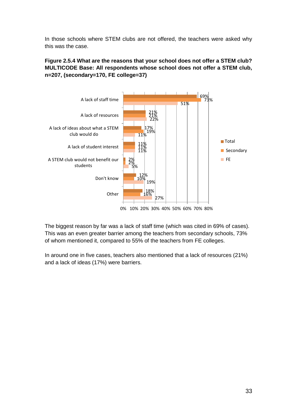In those schools where STEM clubs are not offered, the teachers were asked why this was the case.

**Figure 2.5.4 What are the reasons that your school does not offer a STEM club? MULTICODE Base: All respondents whose school does not offer a STEM club, n=207, (secondary=170, FE college=37)**



The biggest reason by far was a lack of staff time (which was cited in 69% of cases). This was an even greater barrier among the teachers from secondary schools, 73% of whom mentioned it, compared to 55% of the teachers from FE colleges.

In around one in five cases, teachers also mentioned that a lack of resources (21%) and a lack of ideas (17%) were barriers.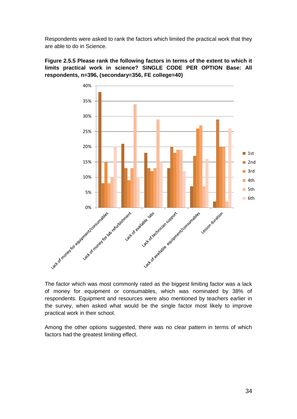Respondents were asked to rank the factors which limited the practical work that they are able to do in Science.



**Figure 2.5.5 Please rank the following factors in terms of the extent to which it limits practical work in science? SINGLE CODE PER OPTION Base: All respondents, n=396, (secondary=356, FE college=40)**

The factor which was most commonly rated as the biggest limiting factor was a lack of money for equipment or consumables, which was nominated by 38% of respondents. Equipment and resources were also mentioned by teachers earlier in the survey, when asked what would be the single factor most likely to improve practical work in their school.

Among the other options suggested, there was no clear pattern in terms of which factors had the greatest limiting effect.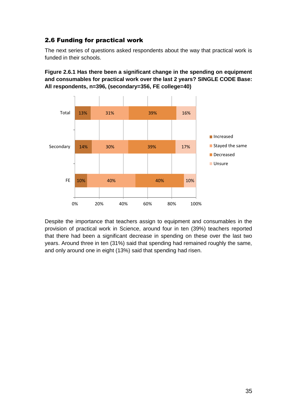## 2.6 Funding for practical work

The next series of questions asked respondents about the way that practical work is funded in their schools.

**Figure 2.6.1 Has there been a significant change in the spending on equipment and consumables for practical work over the last 2 years? SINGLE CODE Base: All respondents, n=396, (secondary=356, FE college=40)**



Despite the importance that teachers assign to equipment and consumables in the provision of practical work in Science, around four in ten (39%) teachers reported that there had been a significant decrease in spending on these over the last two years. Around three in ten (31%) said that spending had remained roughly the same, and only around one in eight (13%) said that spending had risen.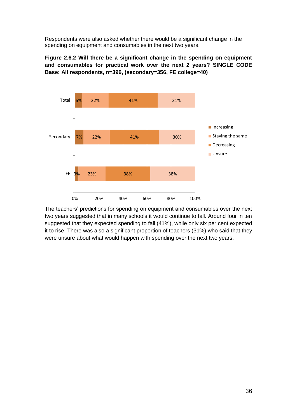Respondents were also asked whether there would be a significant change in the spending on equipment and consumables in the next two years.



**Figure 2.6.2 Will there be a significant change in the spending on equipment and consumables for practical work over the next 2 years? SINGLE CODE Base: All respondents, n=396, (secondary=356, FE college=40)**

The teachers' predictions for spending on equipment and consumables over the next two years suggested that in many schools it would continue to fall. Around four in ten suggested that they expected spending to fall (41%), while only six per cent expected it to rise. There was also a significant proportion of teachers (31%) who said that they were unsure about what would happen with spending over the next two years.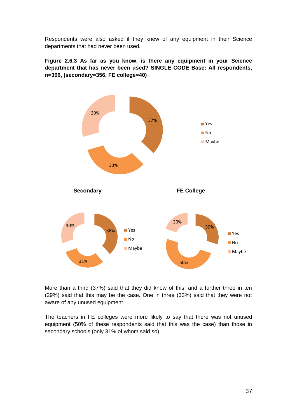Respondents were also asked if they knew of any equipment in their Science departments that had never been used.

**Figure 2.6.3 As far as you know, is there any equipment in your Science department that has never been used? SINGLE CODE Base: All respondents, n=396, (secondary=356, FE college=40)**



More than a third (37%) said that they did know of this, and a further three in ten (29%) said that this may be the case. One in three (33%) said that they were not aware of any unused equipment.

The teachers in FE colleges were more likely to say that there was not unused equipment (50% of these respondents said that this was the case) than those in secondary schools (only 31% of whom said so).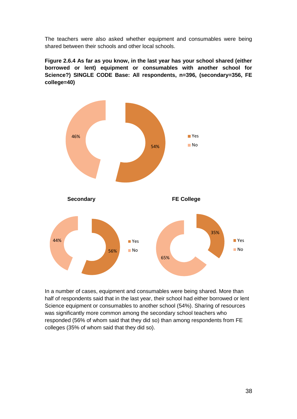The teachers were also asked whether equipment and consumables were being shared between their schools and other local schools.

**Figure 2.6.4 As far as you know, in the last year has your school shared (either borrowed or lent) equipment or consumables with another school for Science?) SINGLE CODE Base: All respondents, n=396, (secondary=356, FE college=40)**



In a number of cases, equipment and consumables were being shared. More than half of respondents said that in the last year, their school had either borrowed or lent Science equipment or consumables to another school (54%). Sharing of resources was significantly more common among the secondary school teachers who responded (56% of whom said that they did so) than among respondents from FE colleges (35% of whom said that they did so).